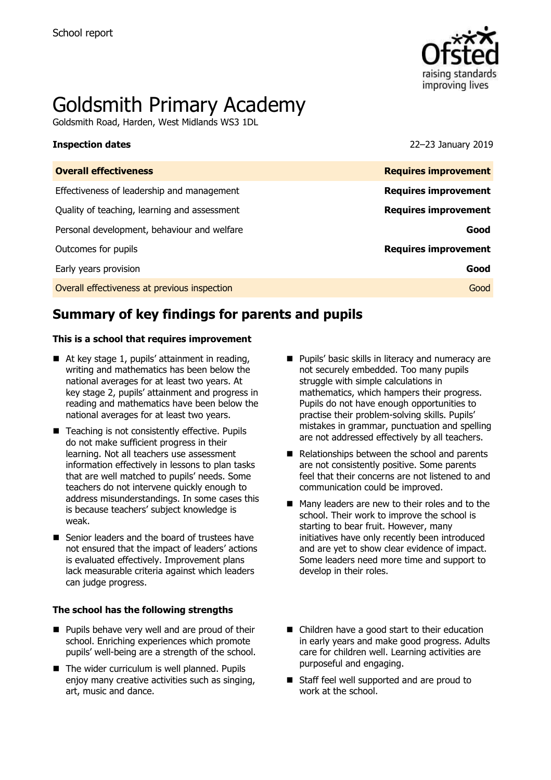

# Goldsmith Primary Academy

Goldsmith Road, Harden, West Midlands WS3 1DL

**Inspection dates** 22–23 January 2019

| <b>Overall effectiveness</b>                 | <b>Requires improvement</b> |
|----------------------------------------------|-----------------------------|
| Effectiveness of leadership and management   | <b>Requires improvement</b> |
| Quality of teaching, learning and assessment | <b>Requires improvement</b> |
| Personal development, behaviour and welfare  | Good                        |
| Outcomes for pupils                          | <b>Requires improvement</b> |
| Early years provision                        | Good                        |
| Overall effectiveness at previous inspection | Good                        |
|                                              |                             |

# **Summary of key findings for parents and pupils**

#### **This is a school that requires improvement**

- $\blacksquare$  At key stage 1, pupils' attainment in reading, writing and mathematics has been below the national averages for at least two years. At key stage 2, pupils' attainment and progress in reading and mathematics have been below the national averages for at least two years.
- Teaching is not consistently effective. Pupils do not make sufficient progress in their learning. Not all teachers use assessment information effectively in lessons to plan tasks that are well matched to pupils' needs. Some teachers do not intervene quickly enough to address misunderstandings. In some cases this is because teachers' subject knowledge is weak.
- Senior leaders and the board of trustees have not ensured that the impact of leaders' actions is evaluated effectively. Improvement plans lack measurable criteria against which leaders can judge progress.

#### **The school has the following strengths**

- **Pupils behave very well and are proud of their** school. Enriching experiences which promote pupils' well-being are a strength of the school.
- $\blacksquare$  The wider curriculum is well planned. Pupils enjoy many creative activities such as singing, art, music and dance.
- **Pupils' basic skills in literacy and numeracy are** not securely embedded. Too many pupils struggle with simple calculations in mathematics, which hampers their progress. Pupils do not have enough opportunities to practise their problem-solving skills. Pupils' mistakes in grammar, punctuation and spelling are not addressed effectively by all teachers.
- Relationships between the school and parents are not consistently positive. Some parents feel that their concerns are not listened to and communication could be improved.
- Many leaders are new to their roles and to the school. Their work to improve the school is starting to bear fruit. However, many initiatives have only recently been introduced and are yet to show clear evidence of impact. Some leaders need more time and support to develop in their roles.
- Children have a good start to their education in early years and make good progress. Adults care for children well. Learning activities are purposeful and engaging.
- Staff feel well supported and are proud to work at the school.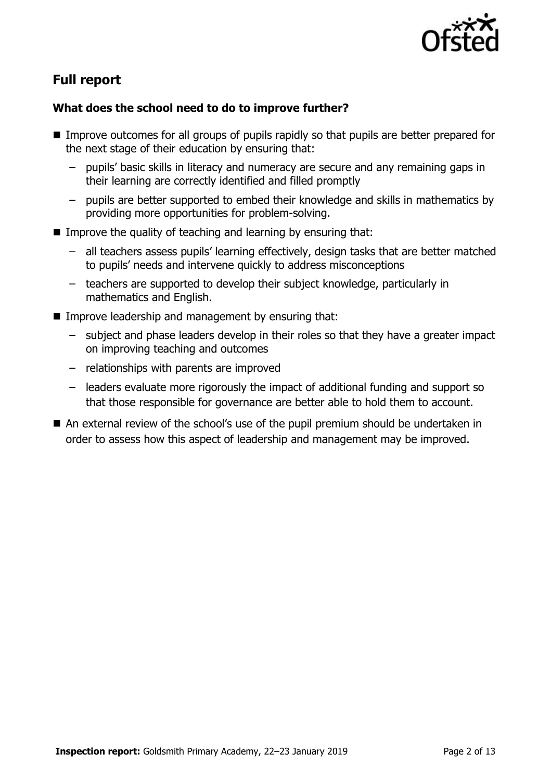

# **Full report**

### **What does the school need to do to improve further?**

- Improve outcomes for all groups of pupils rapidly so that pupils are better prepared for the next stage of their education by ensuring that:
	- pupils' basic skills in literacy and numeracy are secure and any remaining gaps in their learning are correctly identified and filled promptly
	- pupils are better supported to embed their knowledge and skills in mathematics by providing more opportunities for problem-solving.
- **IMPROVE the quality of teaching and learning by ensuring that:** 
	- all teachers assess pupils' learning effectively, design tasks that are better matched to pupils' needs and intervene quickly to address misconceptions
	- teachers are supported to develop their subject knowledge, particularly in mathematics and English.
- **IMPROVE LEADERSHIP and management by ensuring that:** 
	- subject and phase leaders develop in their roles so that they have a greater impact on improving teaching and outcomes
	- relationships with parents are improved
	- leaders evaluate more rigorously the impact of additional funding and support so that those responsible for governance are better able to hold them to account.
- An external review of the school's use of the pupil premium should be undertaken in order to assess how this aspect of leadership and management may be improved.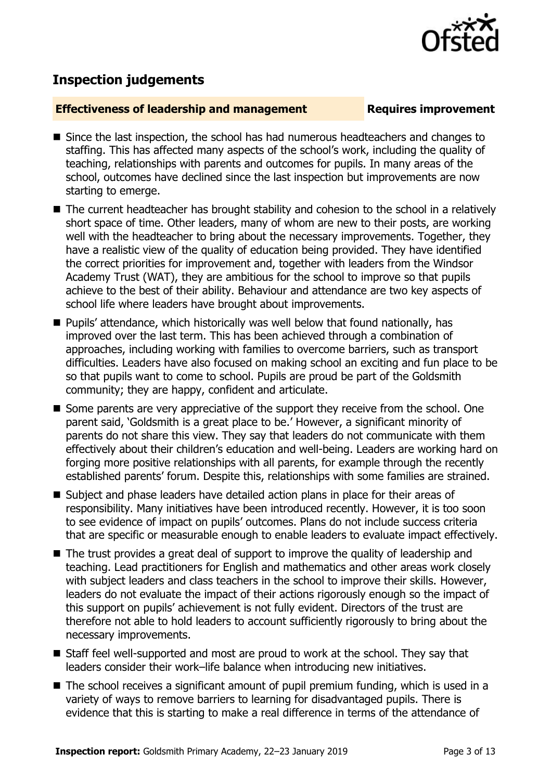

## **Inspection judgements**

#### **Effectiveness of leadership and management Requires improvement**

#### Since the last inspection, the school has had numerous headteachers and changes to staffing. This has affected many aspects of the school's work, including the quality of teaching, relationships with parents and outcomes for pupils. In many areas of the school, outcomes have declined since the last inspection but improvements are now starting to emerge.

- The current headteacher has brought stability and cohesion to the school in a relatively short space of time. Other leaders, many of whom are new to their posts, are working well with the headteacher to bring about the necessary improvements. Together, they have a realistic view of the quality of education being provided. They have identified the correct priorities for improvement and, together with leaders from the Windsor Academy Trust (WAT), they are ambitious for the school to improve so that pupils achieve to the best of their ability. Behaviour and attendance are two key aspects of school life where leaders have brought about improvements.
- Pupils' attendance, which historically was well below that found nationally, has improved over the last term. This has been achieved through a combination of approaches, including working with families to overcome barriers, such as transport difficulties. Leaders have also focused on making school an exciting and fun place to be so that pupils want to come to school. Pupils are proud be part of the Goldsmith community; they are happy, confident and articulate.
- Some parents are very appreciative of the support they receive from the school. One parent said, 'Goldsmith is a great place to be.' However, a significant minority of parents do not share this view. They say that leaders do not communicate with them effectively about their children's education and well-being. Leaders are working hard on forging more positive relationships with all parents, for example through the recently established parents' forum. Despite this, relationships with some families are strained.
- Subject and phase leaders have detailed action plans in place for their areas of responsibility. Many initiatives have been introduced recently. However, it is too soon to see evidence of impact on pupils' outcomes. Plans do not include success criteria that are specific or measurable enough to enable leaders to evaluate impact effectively.
- The trust provides a great deal of support to improve the quality of leadership and teaching. Lead practitioners for English and mathematics and other areas work closely with subject leaders and class teachers in the school to improve their skills. However, leaders do not evaluate the impact of their actions rigorously enough so the impact of this support on pupils' achievement is not fully evident. Directors of the trust are therefore not able to hold leaders to account sufficiently rigorously to bring about the necessary improvements.
- Staff feel well-supported and most are proud to work at the school. They say that leaders consider their work–life balance when introducing new initiatives.
- The school receives a significant amount of pupil premium funding, which is used in a variety of ways to remove barriers to learning for disadvantaged pupils. There is evidence that this is starting to make a real difference in terms of the attendance of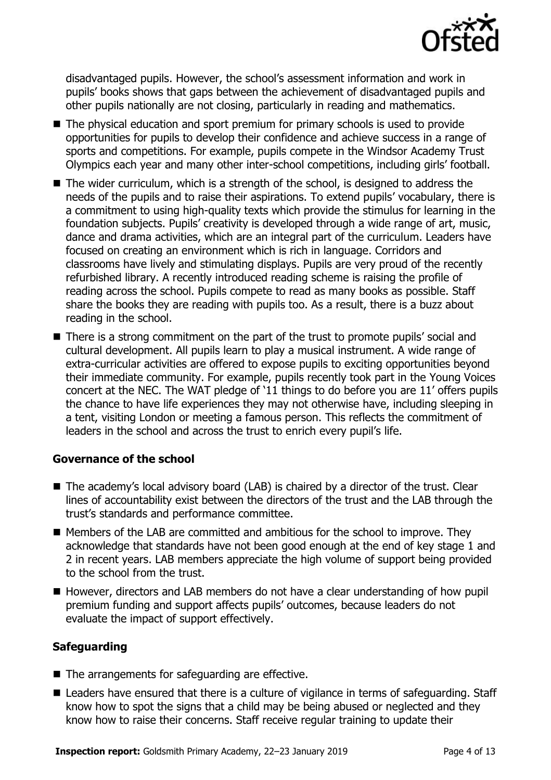

disadvantaged pupils. However, the school's assessment information and work in pupils' books shows that gaps between the achievement of disadvantaged pupils and other pupils nationally are not closing, particularly in reading and mathematics.

- The physical education and sport premium for primary schools is used to provide opportunities for pupils to develop their confidence and achieve success in a range of sports and competitions. For example, pupils compete in the Windsor Academy Trust Olympics each year and many other inter-school competitions, including girls' football.
- The wider curriculum, which is a strength of the school, is designed to address the needs of the pupils and to raise their aspirations. To extend pupils' vocabulary, there is a commitment to using high-quality texts which provide the stimulus for learning in the foundation subjects. Pupils' creativity is developed through a wide range of art, music, dance and drama activities, which are an integral part of the curriculum. Leaders have focused on creating an environment which is rich in language. Corridors and classrooms have lively and stimulating displays. Pupils are very proud of the recently refurbished library. A recently introduced reading scheme is raising the profile of reading across the school. Pupils compete to read as many books as possible. Staff share the books they are reading with pupils too. As a result, there is a buzz about reading in the school.
- There is a strong commitment on the part of the trust to promote pupils' social and cultural development. All pupils learn to play a musical instrument. A wide range of extra-curricular activities are offered to expose pupils to exciting opportunities beyond their immediate community. For example, pupils recently took part in the Young Voices concert at the NEC. The WAT pledge of '11 things to do before you are 11' offers pupils the chance to have life experiences they may not otherwise have, including sleeping in a tent, visiting London or meeting a famous person. This reflects the commitment of leaders in the school and across the trust to enrich every pupil's life.

#### **Governance of the school**

- The academy's local advisory board (LAB) is chaired by a director of the trust. Clear lines of accountability exist between the directors of the trust and the LAB through the trust's standards and performance committee.
- $\blacksquare$  Members of the LAB are committed and ambitious for the school to improve. They acknowledge that standards have not been good enough at the end of key stage 1 and 2 in recent years. LAB members appreciate the high volume of support being provided to the school from the trust.
- However, directors and LAB members do not have a clear understanding of how pupil premium funding and support affects pupils' outcomes, because leaders do not evaluate the impact of support effectively.

### **Safeguarding**

- $\blacksquare$  The arrangements for safeguarding are effective.
- Leaders have ensured that there is a culture of vigilance in terms of safeguarding. Staff know how to spot the signs that a child may be being abused or neglected and they know how to raise their concerns. Staff receive regular training to update their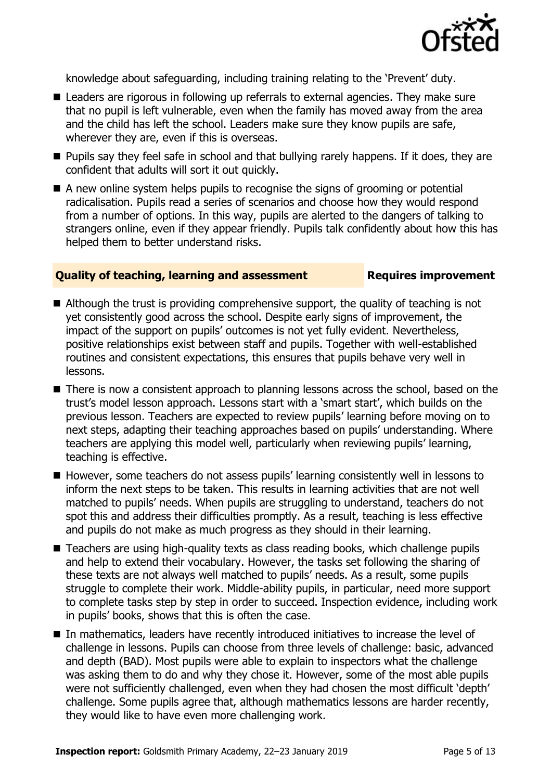

knowledge about safeguarding, including training relating to the 'Prevent' duty.

- Leaders are rigorous in following up referrals to external agencies. They make sure that no pupil is left vulnerable, even when the family has moved away from the area and the child has left the school. Leaders make sure they know pupils are safe, wherever they are, even if this is overseas.
- **Pupils say they feel safe in school and that bullying rarely happens. If it does, they are** confident that adults will sort it out quickly.
- A new online system helps pupils to recognise the signs of grooming or potential radicalisation. Pupils read a series of scenarios and choose how they would respond from a number of options. In this way, pupils are alerted to the dangers of talking to strangers online, even if they appear friendly. Pupils talk confidently about how this has helped them to better understand risks.

#### **Quality of teaching, learning and assessment Fig. 2.1 Requires improvement**

- Although the trust is providing comprehensive support, the quality of teaching is not yet consistently good across the school. Despite early signs of improvement, the impact of the support on pupils' outcomes is not yet fully evident. Nevertheless, positive relationships exist between staff and pupils. Together with well-established routines and consistent expectations, this ensures that pupils behave very well in lessons.
- There is now a consistent approach to planning lessons across the school, based on the trust's model lesson approach. Lessons start with a 'smart start', which builds on the previous lesson. Teachers are expected to review pupils' learning before moving on to next steps, adapting their teaching approaches based on pupils' understanding. Where teachers are applying this model well, particularly when reviewing pupils' learning, teaching is effective.
- However, some teachers do not assess pupils' learning consistently well in lessons to inform the next steps to be taken. This results in learning activities that are not well matched to pupils' needs. When pupils are struggling to understand, teachers do not spot this and address their difficulties promptly. As a result, teaching is less effective and pupils do not make as much progress as they should in their learning.
- Teachers are using high-quality texts as class reading books, which challenge pupils and help to extend their vocabulary. However, the tasks set following the sharing of these texts are not always well matched to pupils' needs. As a result, some pupils struggle to complete their work. Middle-ability pupils, in particular, need more support to complete tasks step by step in order to succeed. Inspection evidence, including work in pupils' books, shows that this is often the case.
- In mathematics, leaders have recently introduced initiatives to increase the level of challenge in lessons. Pupils can choose from three levels of challenge: basic, advanced and depth (BAD). Most pupils were able to explain to inspectors what the challenge was asking them to do and why they chose it. However, some of the most able pupils were not sufficiently challenged, even when they had chosen the most difficult 'depth' challenge. Some pupils agree that, although mathematics lessons are harder recently, they would like to have even more challenging work.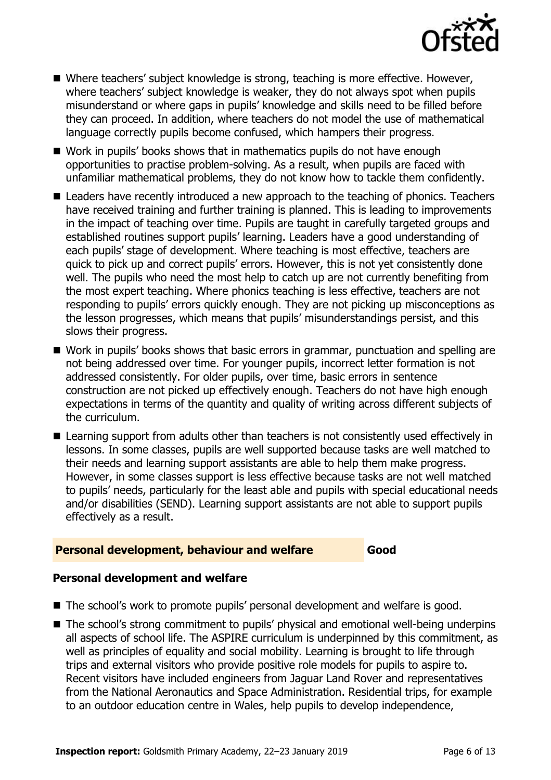

- Where teachers' subject knowledge is strong, teaching is more effective. However, where teachers' subject knowledge is weaker, they do not always spot when pupils misunderstand or where gaps in pupils' knowledge and skills need to be filled before they can proceed. In addition, where teachers do not model the use of mathematical language correctly pupils become confused, which hampers their progress.
- Work in pupils' books shows that in mathematics pupils do not have enough opportunities to practise problem-solving. As a result, when pupils are faced with unfamiliar mathematical problems, they do not know how to tackle them confidently.
- Leaders have recently introduced a new approach to the teaching of phonics. Teachers have received training and further training is planned. This is leading to improvements in the impact of teaching over time. Pupils are taught in carefully targeted groups and established routines support pupils' learning. Leaders have a good understanding of each pupils' stage of development. Where teaching is most effective, teachers are quick to pick up and correct pupils' errors. However, this is not yet consistently done well. The pupils who need the most help to catch up are not currently benefiting from the most expert teaching. Where phonics teaching is less effective, teachers are not responding to pupils' errors quickly enough. They are not picking up misconceptions as the lesson progresses, which means that pupils' misunderstandings persist, and this slows their progress.
- Work in pupils' books shows that basic errors in grammar, punctuation and spelling are not being addressed over time. For younger pupils, incorrect letter formation is not addressed consistently. For older pupils, over time, basic errors in sentence construction are not picked up effectively enough. Teachers do not have high enough expectations in terms of the quantity and quality of writing across different subjects of the curriculum.
- Learning support from adults other than teachers is not consistently used effectively in lessons. In some classes, pupils are well supported because tasks are well matched to their needs and learning support assistants are able to help them make progress. However, in some classes support is less effective because tasks are not well matched to pupils' needs, particularly for the least able and pupils with special educational needs and/or disabilities (SEND). Learning support assistants are not able to support pupils effectively as a result.

#### **Personal development, behaviour and welfare Good**

#### **Personal development and welfare**

- The school's work to promote pupils' personal development and welfare is good.
- The school's strong commitment to pupils' physical and emotional well-being underpins all aspects of school life. The ASPIRE curriculum is underpinned by this commitment, as well as principles of equality and social mobility. Learning is brought to life through trips and external visitors who provide positive role models for pupils to aspire to. Recent visitors have included engineers from Jaguar Land Rover and representatives from the National Aeronautics and Space Administration. Residential trips, for example to an outdoor education centre in Wales, help pupils to develop independence,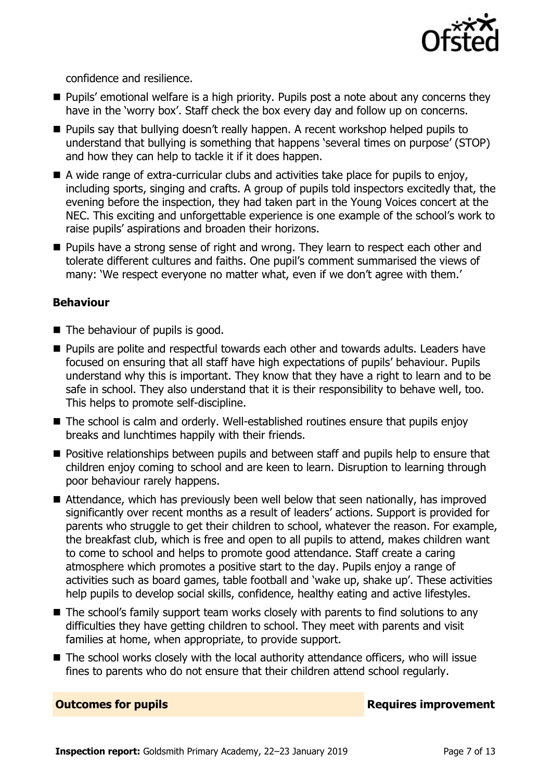

confidence and resilience.

- **Pupils'** emotional welfare is a high priority. Pupils post a note about any concerns they have in the 'worry box'. Staff check the box every day and follow up on concerns.
- **Pupils say that bullying doesn't really happen. A recent workshop helped pupils to** understand that bullying is something that happens 'several times on purpose' (STOP) and how they can help to tackle it if it does happen.
- A wide range of extra-curricular clubs and activities take place for pupils to enjoy, including sports, singing and crafts. A group of pupils told inspectors excitedly that, the evening before the inspection, they had taken part in the Young Voices concert at the NEC. This exciting and unforgettable experience is one example of the school's work to raise pupils' aspirations and broaden their horizons.
- **Pupils have a strong sense of right and wrong. They learn to respect each other and** tolerate different cultures and faiths. One pupil's comment summarised the views of many: 'We respect everyone no matter what, even if we don't agree with them.'

#### **Behaviour**

- $\blacksquare$  The behaviour of pupils is good.
- **Pupils are polite and respectful towards each other and towards adults. Leaders have** focused on ensuring that all staff have high expectations of pupils' behaviour. Pupils understand why this is important. They know that they have a right to learn and to be safe in school. They also understand that it is their responsibility to behave well, too. This helps to promote self-discipline.
- The school is calm and orderly. Well-established routines ensure that pupils enjoy breaks and lunchtimes happily with their friends.
- **Positive relationships between pupils and between staff and pupils help to ensure that** children enjoy coming to school and are keen to learn. Disruption to learning through poor behaviour rarely happens.
- Attendance, which has previously been well below that seen nationally, has improved significantly over recent months as a result of leaders' actions. Support is provided for parents who struggle to get their children to school, whatever the reason. For example, the breakfast club, which is free and open to all pupils to attend, makes children want to come to school and helps to promote good attendance. Staff create a caring atmosphere which promotes a positive start to the day. Pupils enjoy a range of activities such as board games, table football and 'wake up, shake up'. These activities help pupils to develop social skills, confidence, healthy eating and active lifestyles.
- The school's family support team works closely with parents to find solutions to any difficulties they have getting children to school. They meet with parents and visit families at home, when appropriate, to provide support.
- The school works closely with the local authority attendance officers, who will issue fines to parents who do not ensure that their children attend school regularly.

**Outcomes for pupils Requires improvement**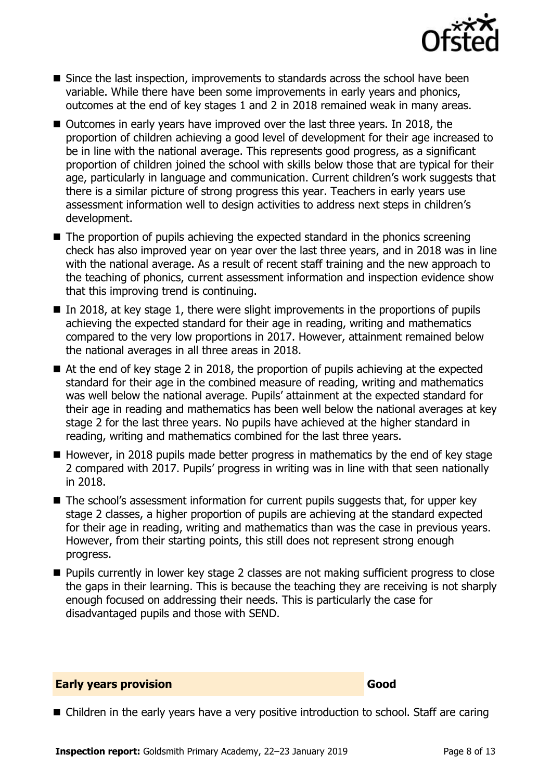

- Since the last inspection, improvements to standards across the school have been variable. While there have been some improvements in early years and phonics, outcomes at the end of key stages 1 and 2 in 2018 remained weak in many areas.
- Outcomes in early years have improved over the last three years. In 2018, the proportion of children achieving a good level of development for their age increased to be in line with the national average. This represents good progress, as a significant proportion of children joined the school with skills below those that are typical for their age, particularly in language and communication. Current children's work suggests that there is a similar picture of strong progress this year. Teachers in early years use assessment information well to design activities to address next steps in children's development.
- $\blacksquare$  The proportion of pupils achieving the expected standard in the phonics screening check has also improved year on year over the last three years, and in 2018 was in line with the national average. As a result of recent staff training and the new approach to the teaching of phonics, current assessment information and inspection evidence show that this improving trend is continuing.
- $\blacksquare$  In 2018, at key stage 1, there were slight improvements in the proportions of pupils achieving the expected standard for their age in reading, writing and mathematics compared to the very low proportions in 2017. However, attainment remained below the national averages in all three areas in 2018.
- At the end of key stage 2 in 2018, the proportion of pupils achieving at the expected standard for their age in the combined measure of reading, writing and mathematics was well below the national average. Pupils' attainment at the expected standard for their age in reading and mathematics has been well below the national averages at key stage 2 for the last three years. No pupils have achieved at the higher standard in reading, writing and mathematics combined for the last three years.
- $\blacksquare$  However, in 2018 pupils made better progress in mathematics by the end of key stage 2 compared with 2017. Pupils' progress in writing was in line with that seen nationally in 2018.
- The school's assessment information for current pupils suggests that, for upper key stage 2 classes, a higher proportion of pupils are achieving at the standard expected for their age in reading, writing and mathematics than was the case in previous years. However, from their starting points, this still does not represent strong enough progress.
- **Pupils currently in lower key stage 2 classes are not making sufficient progress to close** the gaps in their learning. This is because the teaching they are receiving is not sharply enough focused on addressing their needs. This is particularly the case for disadvantaged pupils and those with SEND.

#### **Early years provision Good Good**

<sup>■</sup> Children in the early years have a very positive introduction to school. Staff are caring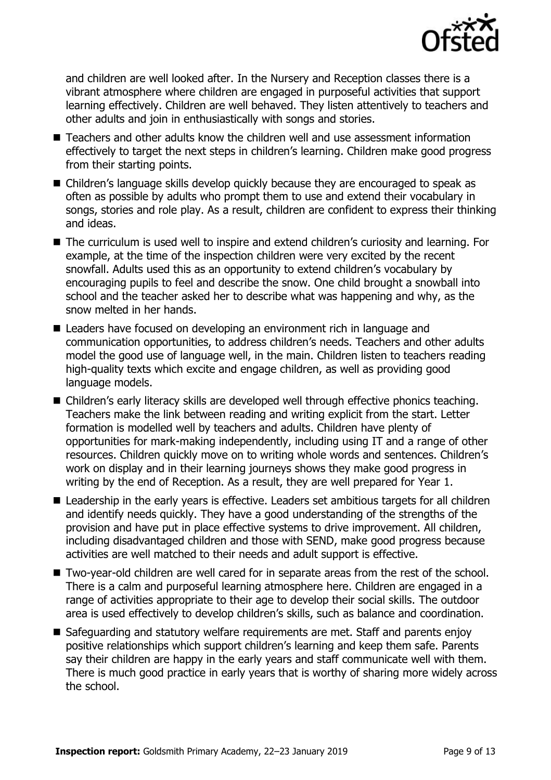

and children are well looked after. In the Nursery and Reception classes there is a vibrant atmosphere where children are engaged in purposeful activities that support learning effectively. Children are well behaved. They listen attentively to teachers and other adults and join in enthusiastically with songs and stories.

- Teachers and other adults know the children well and use assessment information effectively to target the next steps in children's learning. Children make good progress from their starting points.
- Children's language skills develop quickly because they are encouraged to speak as often as possible by adults who prompt them to use and extend their vocabulary in songs, stories and role play. As a result, children are confident to express their thinking and ideas.
- The curriculum is used well to inspire and extend children's curiosity and learning. For example, at the time of the inspection children were very excited by the recent snowfall. Adults used this as an opportunity to extend children's vocabulary by encouraging pupils to feel and describe the snow. One child brought a snowball into school and the teacher asked her to describe what was happening and why, as the snow melted in her hands.
- Leaders have focused on developing an environment rich in language and communication opportunities, to address children's needs. Teachers and other adults model the good use of language well, in the main. Children listen to teachers reading high-quality texts which excite and engage children, as well as providing good language models.
- Children's early literacy skills are developed well through effective phonics teaching. Teachers make the link between reading and writing explicit from the start. Letter formation is modelled well by teachers and adults. Children have plenty of opportunities for mark-making independently, including using IT and a range of other resources. Children quickly move on to writing whole words and sentences. Children's work on display and in their learning journeys shows they make good progress in writing by the end of Reception. As a result, they are well prepared for Year 1.
- Leadership in the early years is effective. Leaders set ambitious targets for all children and identify needs quickly. They have a good understanding of the strengths of the provision and have put in place effective systems to drive improvement. All children, including disadvantaged children and those with SEND, make good progress because activities are well matched to their needs and adult support is effective.
- Two-year-old children are well cared for in separate areas from the rest of the school. There is a calm and purposeful learning atmosphere here. Children are engaged in a range of activities appropriate to their age to develop their social skills. The outdoor area is used effectively to develop children's skills, such as balance and coordination.
- Safeguarding and statutory welfare reguirements are met. Staff and parents enjoy positive relationships which support children's learning and keep them safe. Parents say their children are happy in the early years and staff communicate well with them. There is much good practice in early years that is worthy of sharing more widely across the school.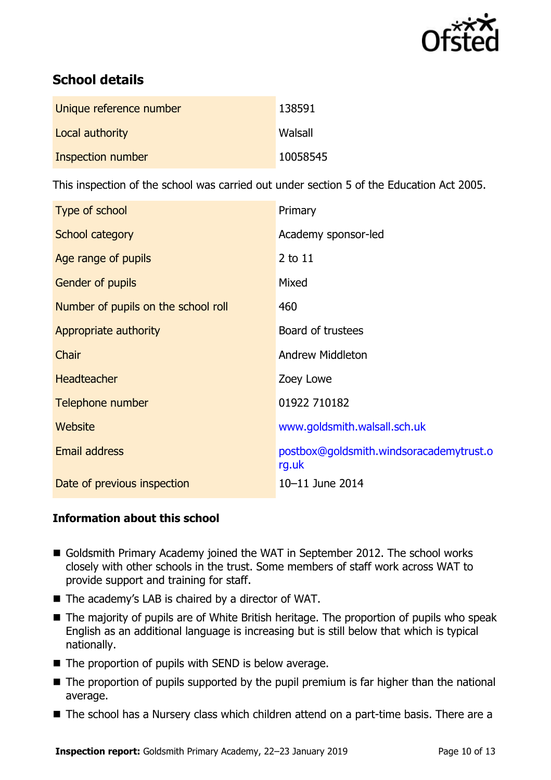

# **School details**

| Unique reference number | 138591   |
|-------------------------|----------|
| Local authority         | Walsall  |
| Inspection number       | 10058545 |

This inspection of the school was carried out under section 5 of the Education Act 2005.

| Type of school                      | Primary                                          |
|-------------------------------------|--------------------------------------------------|
| School category                     | Academy sponsor-led                              |
| Age range of pupils                 | 2 to 11                                          |
| Gender of pupils                    | Mixed                                            |
| Number of pupils on the school roll | 460                                              |
| Appropriate authority               | Board of trustees                                |
| <b>Chair</b>                        | <b>Andrew Middleton</b>                          |
| <b>Headteacher</b>                  | Zoey Lowe                                        |
| Telephone number                    | 01922 710182                                     |
| Website                             | www.goldsmith.walsall.sch.uk                     |
| Email address                       | postbox@goldsmith.windsoracademytrust.o<br>rg.uk |
| Date of previous inspection         | 10-11 June 2014                                  |

#### **Information about this school**

- Goldsmith Primary Academy joined the WAT in September 2012. The school works closely with other schools in the trust. Some members of staff work across WAT to provide support and training for staff.
- The academy's LAB is chaired by a director of WAT.
- The majority of pupils are of White British heritage. The proportion of pupils who speak English as an additional language is increasing but is still below that which is typical nationally.
- $\blacksquare$  The proportion of pupils with SEND is below average.
- The proportion of pupils supported by the pupil premium is far higher than the national average.
- The school has a Nursery class which children attend on a part-time basis. There are a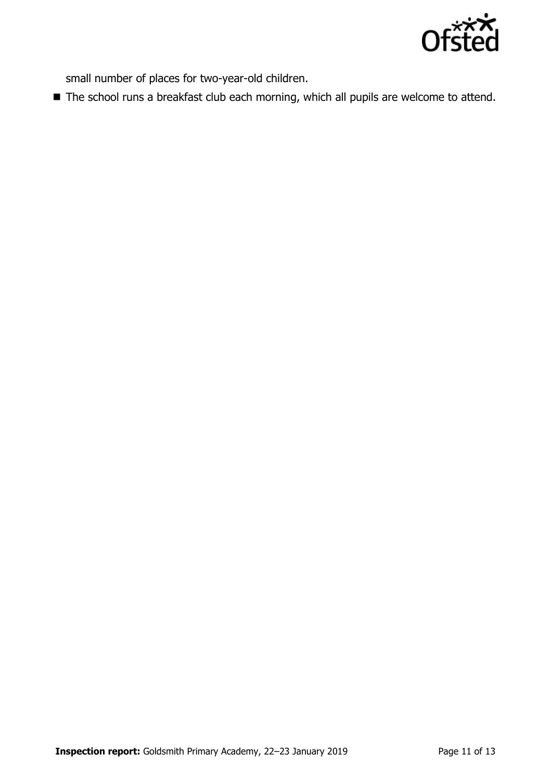

small number of places for two-year-old children.

■ The school runs a breakfast club each morning, which all pupils are welcome to attend.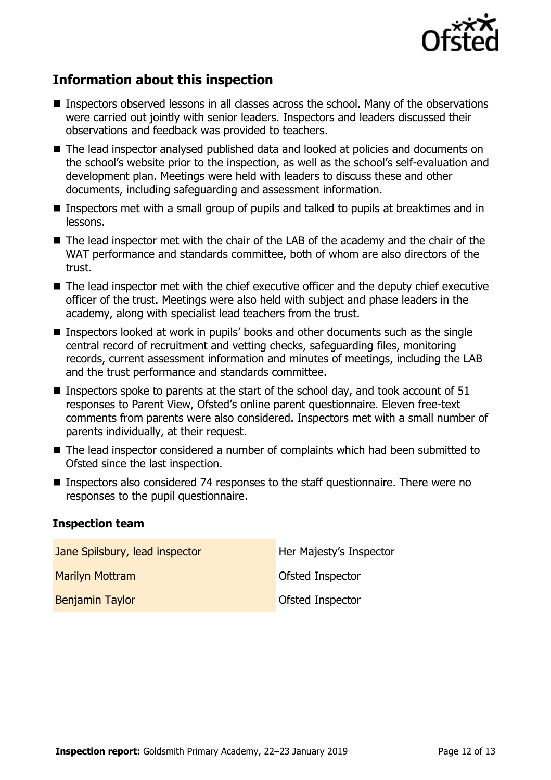

# **Information about this inspection**

- Inspectors observed lessons in all classes across the school. Many of the observations were carried out jointly with senior leaders. Inspectors and leaders discussed their observations and feedback was provided to teachers.
- The lead inspector analysed published data and looked at policies and documents on the school's website prior to the inspection, as well as the school's self-evaluation and development plan. Meetings were held with leaders to discuss these and other documents, including safeguarding and assessment information.
- **Inspectors met with a small group of pupils and talked to pupils at breaktimes and in** lessons.
- The lead inspector met with the chair of the LAB of the academy and the chair of the WAT performance and standards committee, both of whom are also directors of the trust.
- The lead inspector met with the chief executive officer and the deputy chief executive officer of the trust. Meetings were also held with subject and phase leaders in the academy, along with specialist lead teachers from the trust.
- Inspectors looked at work in pupils' books and other documents such as the single central record of recruitment and vetting checks, safeguarding files, monitoring records, current assessment information and minutes of meetings, including the LAB and the trust performance and standards committee.
- **Inspectors spoke to parents at the start of the school day, and took account of 51** responses to Parent View, Ofsted's online parent questionnaire. Eleven free-text comments from parents were also considered. Inspectors met with a small number of parents individually, at their request.
- The lead inspector considered a number of complaints which had been submitted to Ofsted since the last inspection.
- Inspectors also considered 74 responses to the staff questionnaire. There were no responses to the pupil questionnaire.

#### **Inspection team**

| Jane Spilsbury, lead inspector | Her Majesty's Inspector |
|--------------------------------|-------------------------|
| <b>Marilyn Mottram</b>         | <b>Ofsted Inspector</b> |
| <b>Benjamin Taylor</b>         | <b>Ofsted Inspector</b> |